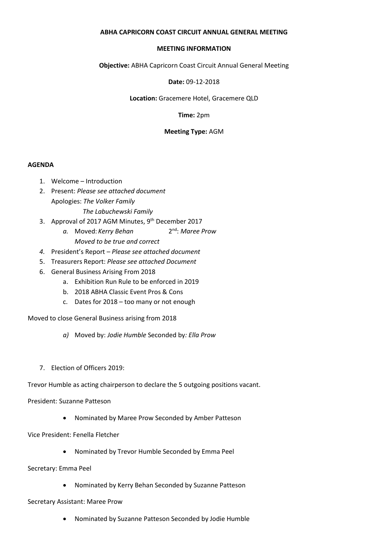### **ABHA CAPRICORN COAST CIRCUIT ANNUAL GENERAL MEETING**

#### **MEETING INFORMATION**

**Objective:** ABHA Capricorn Coast Circuit Annual General Meeting

**Date:** 09-12-2018

**Location:** Gracemere Hotel, Gracemere QLD

**Time:** 2pm

### **Meeting Type:** AGM

#### **AGENDA**

- 1. Welcome Introduction
- 2. Present: *Please see attached document* Apologies: *The Volker Family The Labuchewski Family*
- 3. Approval of 2017 AGM Minutes, 9<sup>th</sup> December 2017
	- *a.* Moved: *Kerry Behan* 2 2<sup>nd</sup>: Maree Prow *Moved to be true and correct*
- *4.* President's Report *Please see attached document*
- 5. Treasurers Report: *Please see attached Document*
- 6. General Business Arising From 2018
	- a. Exhibition Run Rule to be enforced in 2019
	- b. 2018 ABHA Classic Event Pros & Cons
	- c. Dates for 2018 too many or not enough

Moved to close General Business arising from 2018

- *a)* Moved by: *Jodie Humble* Seconded by*: Ella Prow*
- 7. Election of Officers 2019:

Trevor Humble as acting chairperson to declare the 5 outgoing positions vacant.

President: Suzanne Patteson

- Nominated by Maree Prow Seconded by Amber Patteson
- Vice President: Fenella Fletcher
	- Nominated by Trevor Humble Seconded by Emma Peel

Secretary: Emma Peel

• Nominated by Kerry Behan Seconded by Suzanne Patteson

#### Secretary Assistant: Maree Prow

• Nominated by Suzanne Patteson Seconded by Jodie Humble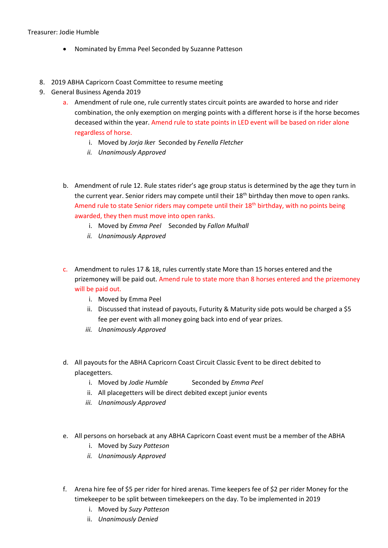## Treasurer: Jodie Humble

- Nominated by Emma Peel Seconded by Suzanne Patteson
- 8. 2019 ABHA Capricorn Coast Committee to resume meeting
- 9. General Business Agenda 2019
	- a. Amendment of rule one, rule currently states circuit points are awarded to horse and rider combination, the only exemption on merging points with a different horse is if the horse becomes deceased within the year. Amend rule to state points in LED event will be based on rider alone regardless of horse.
		- i. Moved by *Jorja Ike*r Seconded by *Fenella Fletcher*
		- *ii. Unanimously Approved*
	- b. Amendment of rule 12. Rule states rider's age group status is determined by the age they turn in the current year. Senior riders may compete until their 18<sup>th</sup> birthday then move to open ranks. Amend rule to state Senior riders may compete until their 18<sup>th</sup> birthday, with no points being awarded, they then must move into open ranks.
		- i. Moved by *Emma Peel* Seconded by *Fallon Mulhall*
		- *ii. Unanimously Approved*
	- c. Amendment to rules 17 & 18, rules currently state More than 15 horses entered and the prizemoney will be paid out. Amend rule to state more than 8 horses entered and the prizemoney will be paid out.
		- i. Moved by Emma Peel
		- ii. Discussed that instead of payouts, Futurity & Maturity side pots would be charged a \$5 fee per event with all money going back into end of year prizes.
		- *iii. Unanimously Approved*
	- d. All payouts for the ABHA Capricorn Coast Circuit Classic Event to be direct debited to placegetters.
		- i. Moved by *Jodie Humble* Seconded by *Emma Peel*
		- ii. All placegetters will be direct debited except junior events
		- *iii. Unanimously Approved*
	- e. All persons on horseback at any ABHA Capricorn Coast event must be a member of the ABHA
		- i. Moved by *Suzy Patteson*
		- *ii. Unanimously Approved*
	- f. Arena hire fee of \$5 per rider for hired arenas. Time keepers fee of \$2 per rider Money for the timekeeper to be split between timekeepers on the day. To be implemented in 2019
		- i. Moved by *Suzy Patteson*
		- ii. *Unanimously Denied*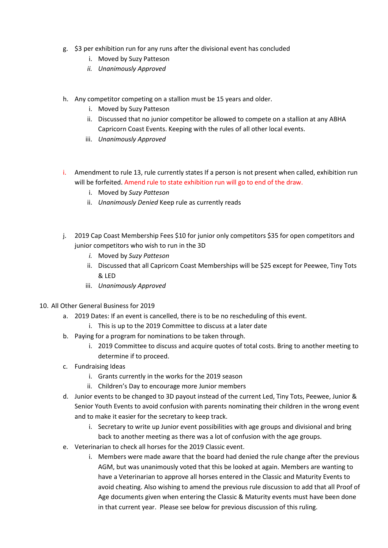- g. \$3 per exhibition run for any runs after the divisional event has concluded
	- i. Moved by Suzy Patteson
	- *ii. Unanimously Approved*
- h. Any competitor competing on a stallion must be 15 years and older.
	- i. Moved by Suzy Patteson
	- ii. Discussed that no junior competitor be allowed to compete on a stallion at any ABHA Capricorn Coast Events. Keeping with the rules of all other local events.
	- iii. *Unanimously Approved*
- i. Amendment to rule 13, rule currently states If a person is not present when called, exhibition run will be forfeited. Amend rule to state exhibition run will go to end of the draw.
	- i. Moved by *Suzy Patteson*
	- ii. *Unanimously Denied* Keep rule as currently reads
- j. 2019 Cap Coast Membership Fees \$10 for junior only competitors \$35 for open competitors and junior competitors who wish to run in the 3D
	- *i.* Moved by *Suzy Patteson*
	- ii. Discussed that all Capricorn Coast Memberships will be \$25 except for Peewee, Tiny Tots & LED
	- iii. *Unanimously Approved*
- 10. All Other General Business for 2019
	- a. 2019 Dates: If an event is cancelled, there is to be no rescheduling of this event.
		- i. This is up to the 2019 Committee to discuss at a later date
	- b. Paying for a program for nominations to be taken through.
		- i. 2019 Committee to discuss and acquire quotes of total costs. Bring to another meeting to determine if to proceed.
	- c. Fundraising Ideas
		- i. Grants currently in the works for the 2019 season
		- ii. Children's Day to encourage more Junior members
	- d. Junior events to be changed to 3D payout instead of the current Led, Tiny Tots, Peewee, Junior & Senior Youth Events to avoid confusion with parents nominating their children in the wrong event and to make it easier for the secretary to keep track.
		- i. Secretary to write up Junior event possibilities with age groups and divisional and bring back to another meeting as there was a lot of confusion with the age groups.
	- e. Veterinarian to check all horses for the 2019 Classic event.
		- i. Members were made aware that the board had denied the rule change after the previous AGM, but was unanimously voted that this be looked at again. Members are wanting to have a Veterinarian to approve all horses entered in the Classic and Maturity Events to avoid cheating. Also wishing to amend the previous rule discussion to add that all Proof of Age documents given when entering the Classic & Maturity events must have been done in that current year. Please see below for previous discussion of this ruling.